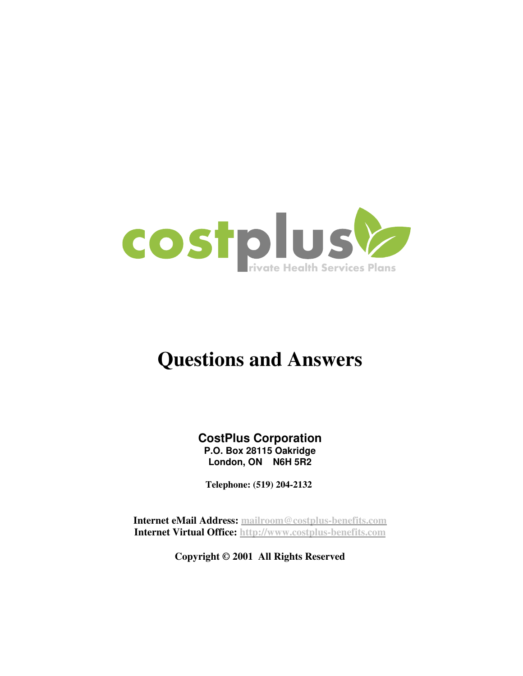

# **Questions and Answers**

**CostPlus Corporation P.O. Box 28115 Oakridge London, ON N6H 5R2**

**Telephone: (519) 204-2132** 

**Internet eMail Address: mailroom@costplus-benefits.com Internet Virtual Office: http://www.costplus-benefits.com**

**Copyright © 2001 All Rights Reserved**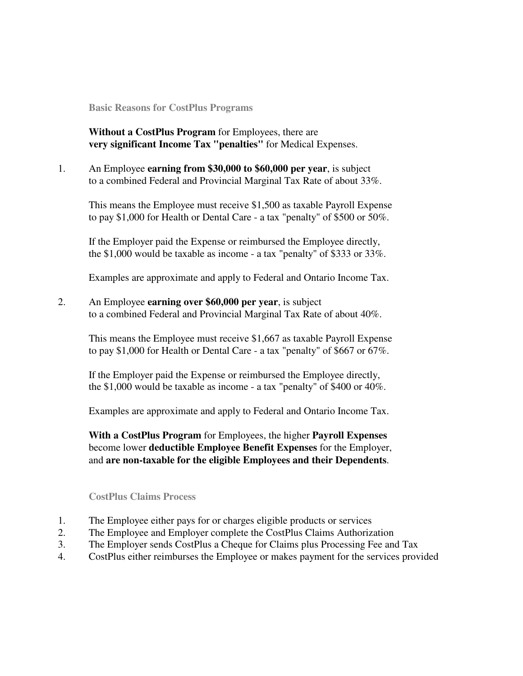**Basic Reasons for CostPlus Programs** 

**Without a CostPlus Program** for Employees, there are **very significant Income Tax "penalties"** for Medical Expenses.

1. An Employee **earning from \$30,000 to \$60,000 per year**, is subject to a combined Federal and Provincial Marginal Tax Rate of about 33%.

This means the Employee must receive \$1,500 as taxable Payroll Expense to pay \$1,000 for Health or Dental Care - a tax "penalty" of \$500 or 50%.

If the Employer paid the Expense or reimbursed the Employee directly, the \$1,000 would be taxable as income - a tax "penalty" of \$333 or 33%.

Examples are approximate and apply to Federal and Ontario Income Tax.

2. An Employee **earning over \$60,000 per year**, is subject to a combined Federal and Provincial Marginal Tax Rate of about 40%.

This means the Employee must receive \$1,667 as taxable Payroll Expense to pay \$1,000 for Health or Dental Care - a tax "penalty" of \$667 or 67%.

If the Employer paid the Expense or reimbursed the Employee directly, the \$1,000 would be taxable as income - a tax "penalty" of \$400 or 40%.

Examples are approximate and apply to Federal and Ontario Income Tax.

**With a CostPlus Program** for Employees, the higher **Payroll Expenses** become lower **deductible Employee Benefit Expenses** for the Employer, and **are non-taxable for the eligible Employees and their Dependents**.

#### **CostPlus Claims Process**

- 1. The Employee either pays for or charges eligible products or services
- 2. The Employee and Employer complete the CostPlus Claims Authorization
- 3. The Employer sends CostPlus a Cheque for Claims plus Processing Fee and Tax
- 4. CostPlus either reimburses the Employee or makes payment for the services provided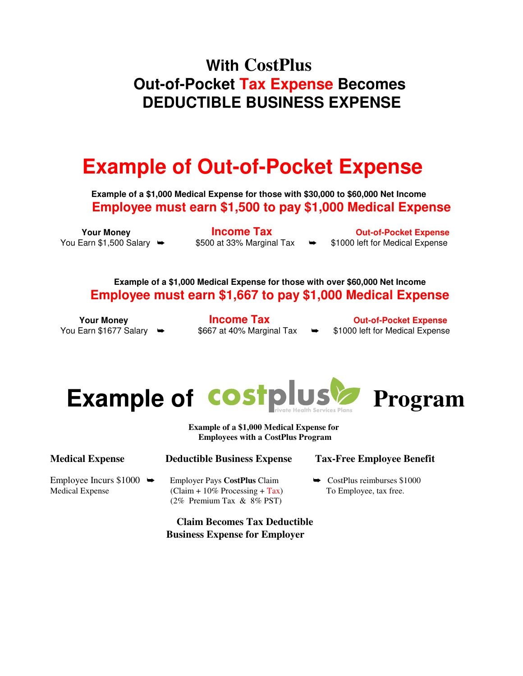# **With CostPlus Out-of-Pocket Tax Expense Becomes DEDUCTIBLE BUSINESS EXPENSE**

# **Example of Out-of-Pocket Expense**

**Example of a \$1,000 Medical Expense for those with \$30,000 to \$60,000 Net Income Employee must earn \$1,500 to pay \$1,000 Medical Expense**

**The Vour Money Convertision Convertision Convertision Convertision Cut-of-Pocket Expense** You Earn \$1,500 Salary  $\rightarrow$  \$500 at 33% Marginal Tax  $\rightarrow$  \$1000 left for Medical Expense

**Example of a \$1,000 Medical Expense for those with over \$60,000 Net Income Employee must earn \$1,667 to pay \$1,000 Medical Expense**

**The Vour Money Convertision Convertision Convertision Convertision Convertision Convertision Convertision Convertision Convertision Convertision Convertision Convertision Convertision Convertision Convertision Convertisio** You Earn \$1677 Salary  $\rightarrow$  \$667 at 40% Marginal Tax  $\rightarrow$  \$1000 left for Medical Expense





**Example of a \$1,000 Medical Expense for Employees with a CostPlus Program**

| <b>Medical Expense</b>                                 | <b>Deductible Business Expense</b>                                                                              | <b>Tax-Free Employee Benefit</b>                                   |  |  |
|--------------------------------------------------------|-----------------------------------------------------------------------------------------------------------------|--------------------------------------------------------------------|--|--|
| Employee Incurs $$1000 \rightarrow$<br>Medical Expense | <b>Employer Pays CostPlus Claim</b><br>$\text{(Claim + 10\% Processing + Tax)}$<br>$(2\%$ Premium Tax & 8% PST) | $\rightarrow$ CostPlus reimburses \$1000<br>To Employee, tax free. |  |  |
| <b>Claim Becomes Tax Deductible</b>                    |                                                                                                                 |                                                                    |  |  |

**Business Expense for Employer**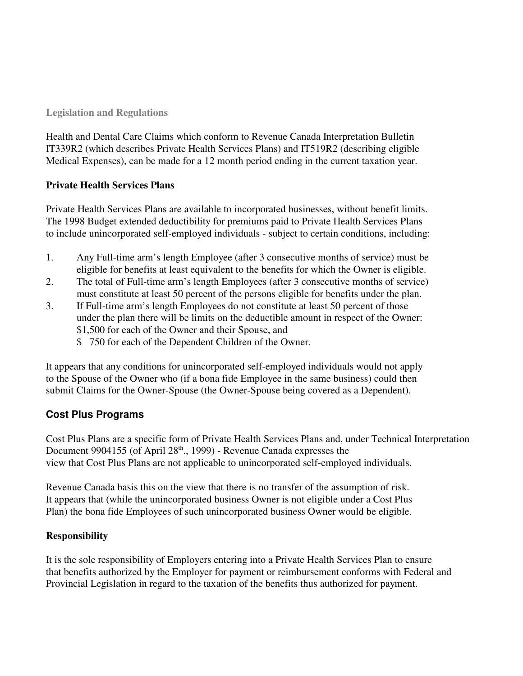#### **Legislation and Regulations**

Health and Dental Care Claims which conform to Revenue Canada Interpretation Bulletin IT339R2 (which describes Private Health Services Plans) and IT519R2 (describing eligible Medical Expenses), can be made for a 12 month period ending in the current taxation year.

## **Private Health Services Plans**

Private Health Services Plans are available to incorporated businesses, without benefit limits. The 1998 Budget extended deductibility for premiums paid to Private Health Services Plans to include unincorporated self-employed individuals - subject to certain conditions, including:

- 1. Any Full-time arm's length Employee (after 3 consecutive months of service) must be eligible for benefits at least equivalent to the benefits for which the Owner is eligible.
- 2. The total of Full-time arm's length Employees (after 3 consecutive months of service) must constitute at least 50 percent of the persons eligible for benefits under the plan.
- 3. If Full-time arm's length Employees do not constitute at least 50 percent of those under the plan there will be limits on the deductible amount in respect of the Owner: \$1,500 for each of the Owner and their Spouse, and
	- \$ 750 for each of the Dependent Children of the Owner.

It appears that any conditions for unincorporated self-employed individuals would not apply to the Spouse of the Owner who (if a bona fide Employee in the same business) could then submit Claims for the Owner-Spouse (the Owner-Spouse being covered as a Dependent).

## **Cost Plus Programs**

Cost Plus Plans are a specific form of Private Health Services Plans and, under Technical Interpretation Document 9904155 (of April 28<sup>th</sup>., 1999) - Revenue Canada expresses the view that Cost Plus Plans are not applicable to unincorporated self-employed individuals.

Revenue Canada basis this on the view that there is no transfer of the assumption of risk. It appears that (while the unincorporated business Owner is not eligible under a Cost Plus Plan) the bona fide Employees of such unincorporated business Owner would be eligible.

## **Responsibility**

It is the sole responsibility of Employers entering into a Private Health Services Plan to ensure that benefits authorized by the Employer for payment or reimbursement conforms with Federal and Provincial Legislation in regard to the taxation of the benefits thus authorized for payment.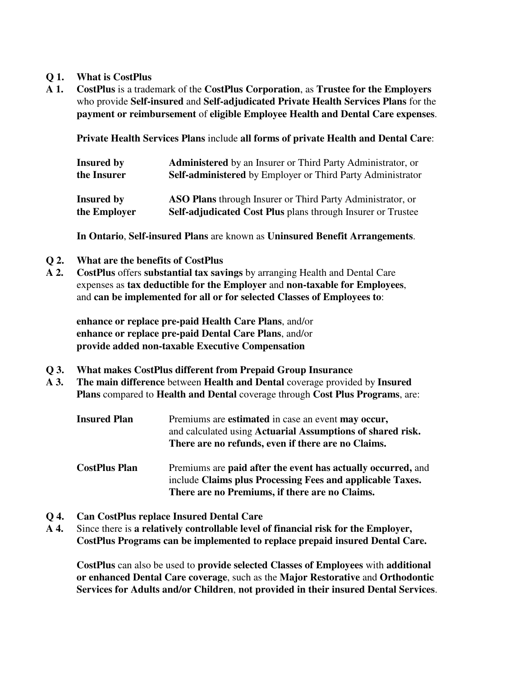#### **Q 1. What is CostPlus**

**A 1. CostPlus** is a trademark of the **CostPlus Corporation**, as **Trustee for the Employers** who provide **Self-insured** and **Self-adjudicated Private Health Services Plans** for the **payment or reimbursement** of **eligible Employee Health and Dental Care expenses**.

 **Private Health Services Plans** include **all forms of private Health and Dental Care**:

| Insured by        | <b>Administered</b> by an Insurer or Third Party Administrator, or |
|-------------------|--------------------------------------------------------------------|
| the Insurer       | Self-administered by Employer or Third Party Administrator         |
| <b>Insured by</b> | <b>ASO Plans</b> through Insurer or Third Party Administrator, or  |
| the Employer      | <b>Self-adjudicated Cost Plus plans through Insurer or Trustee</b> |

**In Ontario**, **Self-insured Plans** are known as **Uninsured Benefit Arrangements**.

- **Q 2. What are the benefits of CostPlus**
- **A 2. CostPlus** offers **substantial tax savings** by arranging Health and Dental Care expenses as **tax deductible for the Employer** and **non-taxable for Employees**, and **can be implemented for all or for selected Classes of Employees to**:

**enhance or replace pre-paid Health Care Plans**, and/or **enhance or replace pre-paid Dental Care Plans**, and/or **provide added non-taxable Executive Compensation**

- **Q 3. What makes CostPlus different from Prepaid Group Insurance**
- **A 3. The main difference** between **Health and Dental** coverage provided by **Insured Plans** compared to **Health and Dental** coverage through **Cost Plus Programs**, are:
	- **Insured Plan** Premiums are **estimated** in case an event **may occur,** and calculated using **Actuarial Assumptions of shared risk. There are no refunds, even if there are no Claims.**
	- **CostPlus Plan** Premiums are **paid after the event has actually occurred,** and include **Claims plus Processing Fees and applicable Taxes. There are no Premiums, if there are no Claims.**
- **Q 4. Can CostPlus replace Insured Dental Care**
- **A 4.** Since there is **a relatively controllable level of financial risk for the Employer, CostPlus Programs can be implemented to replace prepaid insured Dental Care.**

**CostPlus** can also be used to **provide selected Classes of Employees** with **additional or enhanced Dental Care coverage**, such as the **Major Restorative** and **Orthodontic Services for Adults and/or Children**, **not provided in their insured Dental Services**.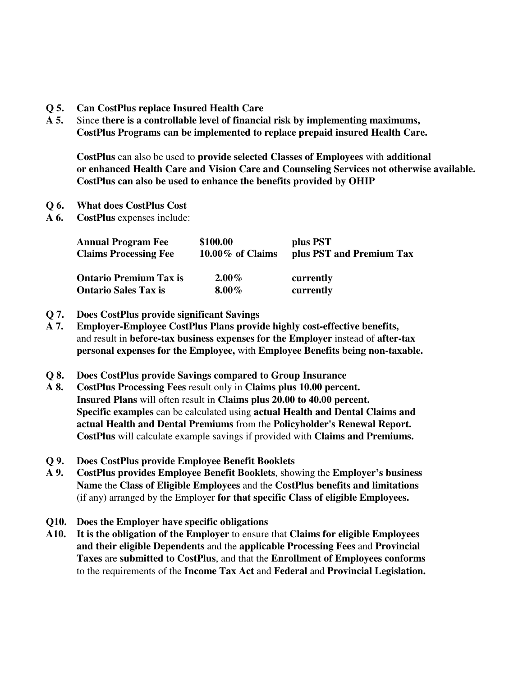- **Q 5. Can CostPlus replace Insured Health Care**
- **A 5.** Since **there is a controllable level of financial risk by implementing maximums, CostPlus Programs can be implemented to replace prepaid insured Health Care.**

**CostPlus** can also be used to **provide selected Classes of Employees** with **additional or enhanced Health Care and Vision Care and Counseling Services not otherwise available. CostPlus can also be used to enhance the benefits provided by OHIP**

- **Q 6. What does CostPlus Cost**
- **A 6. CostPlus** expenses include:

| <b>Annual Program Fee</b>     | \$100.00            | plus PST                 |
|-------------------------------|---------------------|--------------------------|
| <b>Claims Processing Fee</b>  | $10.00\%$ of Claims | plus PST and Premium Tax |
| <b>Ontario Premium Tax is</b> | $2.00\%$            | currently                |
| <b>Ontario Sales Tax is</b>   | $8.00\%$            | currently                |

- **Q 7. Does CostPlus provide significant Savings**
- **A 7. Employer-Employee CostPlus Plans provide highly cost-effective benefits,** and result in **before-tax business expenses for the Employer** instead of **after-tax personal expenses for the Employee,** with **Employee Benefits being non-taxable.**
- **Q 8. Does CostPlus provide Savings compared to Group Insurance**
- **A 8. CostPlus Processing Fees** result only in **Claims plus 10.00 percent. Insured Plans** will often result in **Claims plus 20.00 to 40.00 percent. Specific examples** can be calculated using **actual Health and Dental Claims and actual Health and Dental Premiums** from the **Policyholder's Renewal Report. CostPlus** will calculate example savings if provided with **Claims and Premiums.**
- **Q 9. Does CostPlus provide Employee Benefit Booklets**
- **A 9. CostPlus provides Employee Benefit Booklets**, showing the **Employer's business Name** the **Class of Eligible Employees** and the **CostPlus benefits and limitations** (if any) arranged by the Employer **for that specific Class of eligible Employees.**
- **Q10. Does the Employer have specific obligations**
- **A10. It is the obligation of the Employer** to ensure that **Claims for eligible Employees and their eligible Dependents** and the **applicable Processing Fees** and **Provincial Taxes** are **submitted to CostPlus**, and that the **Enrollment of Employees conforms** to the requirements of the **Income Tax Act** and **Federal** and **Provincial Legislation.**